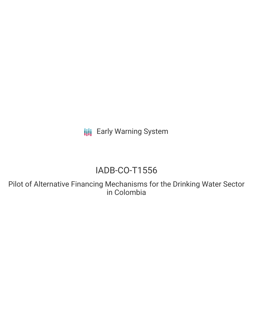**III** Early Warning System

# IADB-CO-T1556

Pilot of Alternative Financing Mechanisms for the Drinking Water Sector in Colombia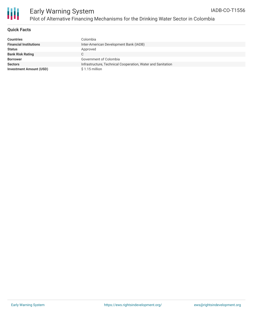

## **Quick Facts**

| <b>Countries</b>               | Colombia                                                    |
|--------------------------------|-------------------------------------------------------------|
| <b>Financial Institutions</b>  | Inter-American Development Bank (IADB)                      |
| <b>Status</b>                  | Approved                                                    |
| <b>Bank Risk Rating</b>        |                                                             |
| <b>Borrower</b>                | Government of Colombia                                      |
| <b>Sectors</b>                 | Infrastructure, Technical Cooperation, Water and Sanitation |
| <b>Investment Amount (USD)</b> | $$1.15$ million                                             |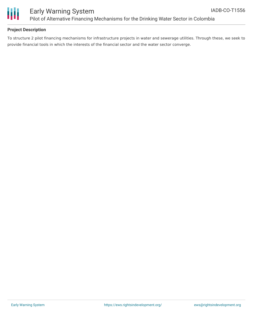

## **Project Description**

To structure 2 pilot financing mechanisms for infrastructure projects in water and sewerage utilities. Through these, we seek to provide financial tools in which the interests of the financial sector and the water sector converge.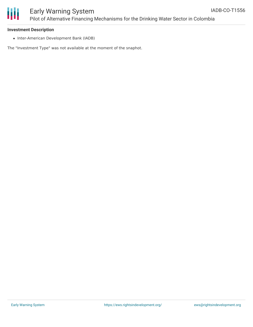

#### **Investment Description**

• Inter-American Development Bank (IADB)

The "Investment Type" was not available at the moment of the snaphot.